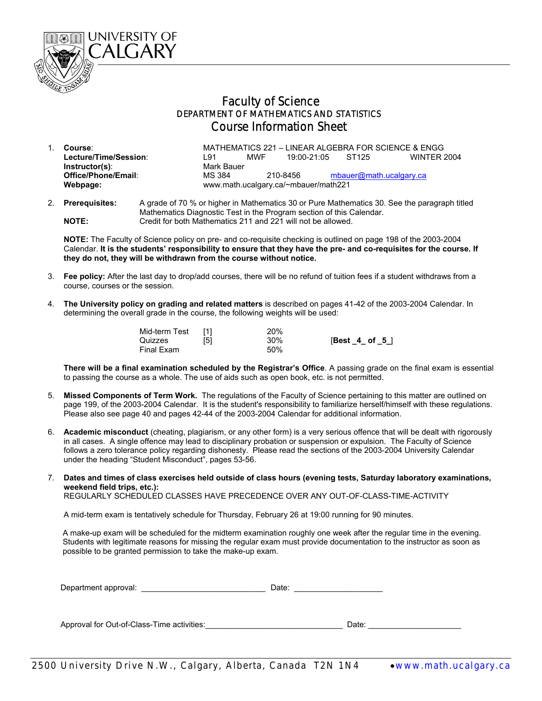

## Faculty of Science DEPARTMENT OF MATHEMATICS AND STATISTICS Course Information Sheet

- 1. **Course**: MATHEMATICS 221 LINEAR ALGEBRA FOR SCIENCE & ENGG **Lecture/Time/Session**: L91 MWF 19:00-21:05 ST125 WINTER 2004 **Instructor(s):** Mark Bauer<br> **Office/Phone/Email:** MS 384 210-8456 [mbauer@math.ucalgary.ca](mailto:mbauer@math.ucalgary.ca) **Webpage:** www.math.ucalgary.ca/~mbauer/math221
- 2. **Prerequisites:** A grade of 70 % or higher in Mathematics 30 or Pure Mathematics 30. See the paragraph titled Mathematics Diagnostic Test in the Program section of this Calendar. **NOTE:** Credit for both Mathematics 211 and 221 will not be allowed.

**NOTE:** The Faculty of Science policy on pre- and co-requisite checking is outlined on page 198 of the 2003-2004 Calendar. **It is the students' responsibility to ensure that they have the pre- and co-requisites for the course. If they do not, they will be withdrawn from the course without notice.**

- 3. **Fee policy:** After the last day to drop/add courses, there will be no refund of tuition fees if a student withdraws from a course, courses or the session.
- 4. **The University policy on grading and related matters** is described on pages 41-42 of the 2003-2004 Calendar. In determining the overall grade in the course, the following weights will be used:

| Mid-term Test<br>Quizzes | [5] | 20%<br>30% | $[Best_4_ of_5]$ |
|--------------------------|-----|------------|------------------|
| Final Exam               |     | 50%        |                  |

**There will be a final examination scheduled by the Registrar's Office**. A passing grade on the final exam is essential to passing the course as a whole. The use of aids such as open book, etc. is not permitted.

- 5. **Missed Components of Term Work.** The regulations of the Faculty of Science pertaining to this matter are outlined on page 199, of the 2003-2004 Calendar. It is the student's responsibility to familiarize herself/himself with these regulations. Please also see page 40 and pages 42-44 of the 2003-2004 Calendar for additional information.
- 6. **Academic misconduct** (cheating, plagiarism, or any other form) is a very serious offence that will be dealt with rigorously in all cases. A single offence may lead to disciplinary probation or suspension or expulsion. The Faculty of Science follows a zero tolerance policy regarding dishonesty. Please read the sections of the 2003-2004 University Calendar under the heading "Student Misconduct", pages 53-56.
- 7. **Dates and times of class exercises held outside of class hours (evening tests, Saturday laboratory examinations, weekend field trips, etc.):**

REGULARLY SCHEDULED CLASSES HAVE PRECEDENCE OVER ANY OUT-OF-CLASS-TIME-ACTIVITY

A mid-term exam is tentatively schedule for Thursday, February 26 at 19:00 running for 90 minutes.

 A make-up exam will be scheduled for the midterm examination roughly one week after the regular time in the evening. Students with legitimate reasons for missing the regular exam must provide documentation to the instructor as soon as possible to be granted permission to take the make-up exam.

Department approval: <br>
Date:

Approval for Out-of-Class-Time activities:\_\_\_\_\_\_\_\_\_\_\_\_\_\_\_\_\_\_\_\_\_\_\_\_\_\_\_\_\_\_\_ Date: \_\_\_\_\_\_\_\_\_\_\_\_\_\_\_\_\_\_\_\_\_